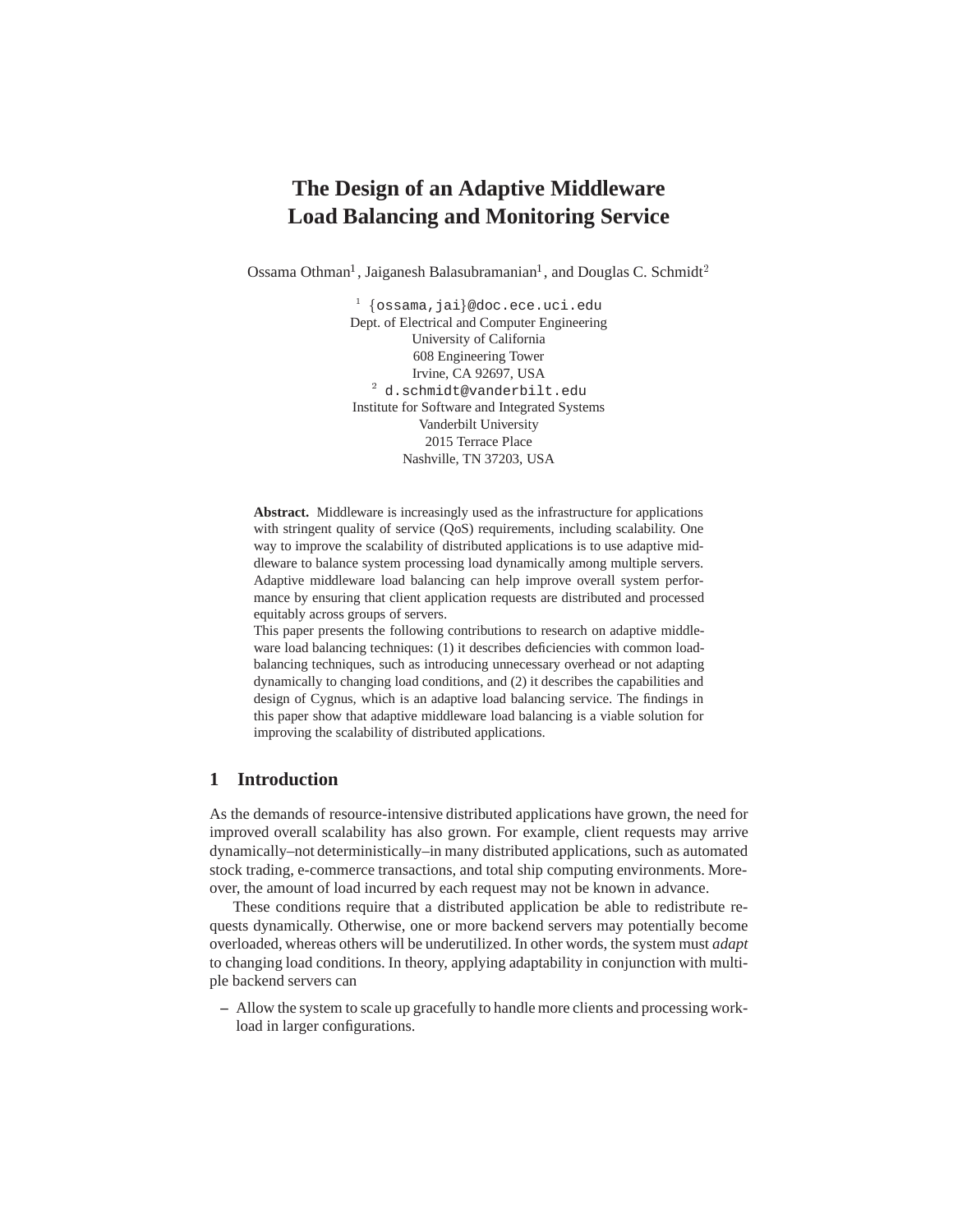# **The Design of an Adaptive Middleware Load Balancing and Monitoring Service**

Ossama Othman<sup>1</sup>, Jaiganesh Balasubramanian<sup>1</sup>, and Douglas C. Schmidt<sup>2</sup>

 $1 \ \{\texttt{ossama},\texttt{jai}\}$ @doc.ece.uci.edu Dept. of Electrical and Computer Engineering University of California 608 Engineering Tower Irvine, CA 92697, USA <sup>2</sup> d.schmidt@vanderbilt.edu Institute for Software and Integrated Systems Vanderbilt University 2015 Terrace Place Nashville, TN 37203, USA

**Abstract.** Middleware is increasingly used as the infrastructure for applications with stringent quality of service (QoS) requirements, including scalability. One way to improve the scalability of distributed applications is to use adaptive middleware to balance system processing load dynamically among multiple servers. Adaptive middleware load balancing can help improve overall system performance by ensuring that client application requests are distributed and processed equitably across groups of servers.

This paper presents the following contributions to research on adaptive middleware load balancing techniques: (1) it describes deficiencies with common loadbalancing techniques, such as introducing unnecessary overhead or not adapting dynamically to changing load conditions, and (2) it describes the capabilities and design of Cygnus, which is an adaptive load balancing service. The findings in this paper show that adaptive middleware load balancing is a viable solution for improving the scalability of distributed applications.

# **1 Introduction**

As the demands of resource-intensive distributed applications have grown, the need for improved overall scalability has also grown. For example, client requests may arrive dynamically–not deterministically–in many distributed applications, such as automated stock trading, e-commerce transactions, and total ship computing environments. Moreover, the amount of load incurred by each request may not be known in advance.

These conditions require that a distributed application be able to redistribute requests dynamically. Otherwise, one or more backend servers may potentially become overloaded, whereas others will be underutilized. In other words, the system must *adapt* to changing load conditions. In theory, applying adaptability in conjunction with multiple backend servers can

**–** Allow the system to scale up gracefully to handle more clients and processing workload in larger configurations.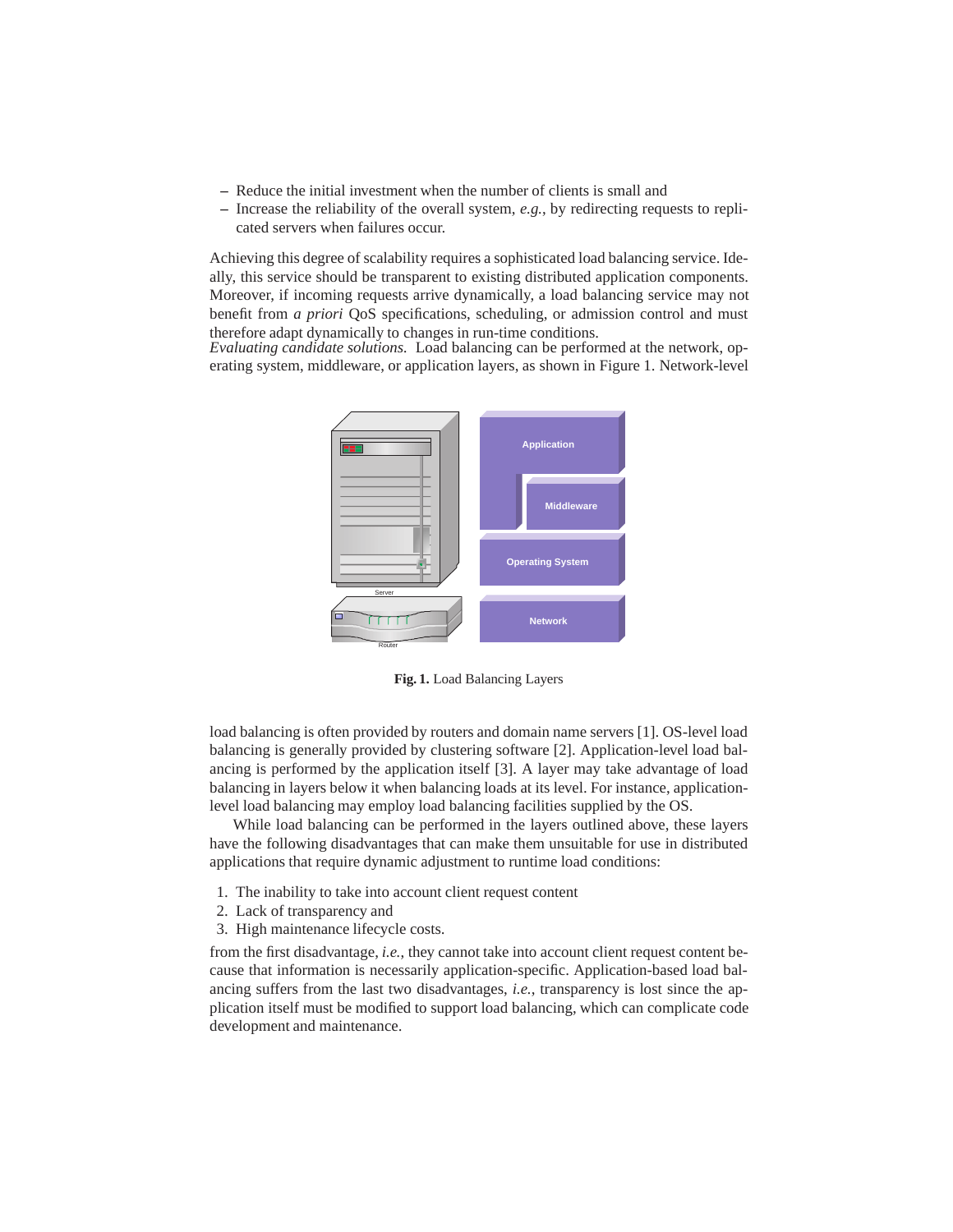- **–** Reduce the initial investment when the number of clients is small and
- **–** Increase the reliability of the overall system, *e.g.*, by redirecting requests to replicated servers when failures occur.

Achieving this degree of scalability requires a sophisticated load balancing service. Ideally, this service should be transparent to existing distributed application components. Moreover, if incoming requests arrive dynamically, a load balancing service may not benefit from *a priori* QoS specifications, scheduling, or admission control and must therefore adapt dynamically to changes in run-time conditions.

*Evaluating candidate solutions.* Load balancing can be performed at the network, operating system, middleware, or application layers, as shown in Figure 1. Network-level



**Fig. 1.** Load Balancing Layers

load balancing is often provided by routers and domain name servers [1]. OS-level load balancing is generally provided by clustering software [2]. Application-level load balancing is performed by the application itself [3]. A layer may take advantage of load balancing in layers below it when balancing loads at its level. For instance, applicationlevel load balancing may employ load balancing facilities supplied by the OS.

While load balancing can be performed in the layers outlined above, these layers have the following disadvantages that can make them unsuitable for use in distributed applications that require dynamic adjustment to runtime load conditions:

- 1. The inability to take into account client request content
- 2. Lack of transparency and
- 3. High maintenance lifecycle costs.

from the first disadvantage, *i.e.*, they cannot take into account client request content because that information is necessarily application-specific. Application-based load balancing suffers from the last two disadvantages, *i.e.*, transparency is lost since the application itself must be modified to support load balancing, which can complicate code development and maintenance.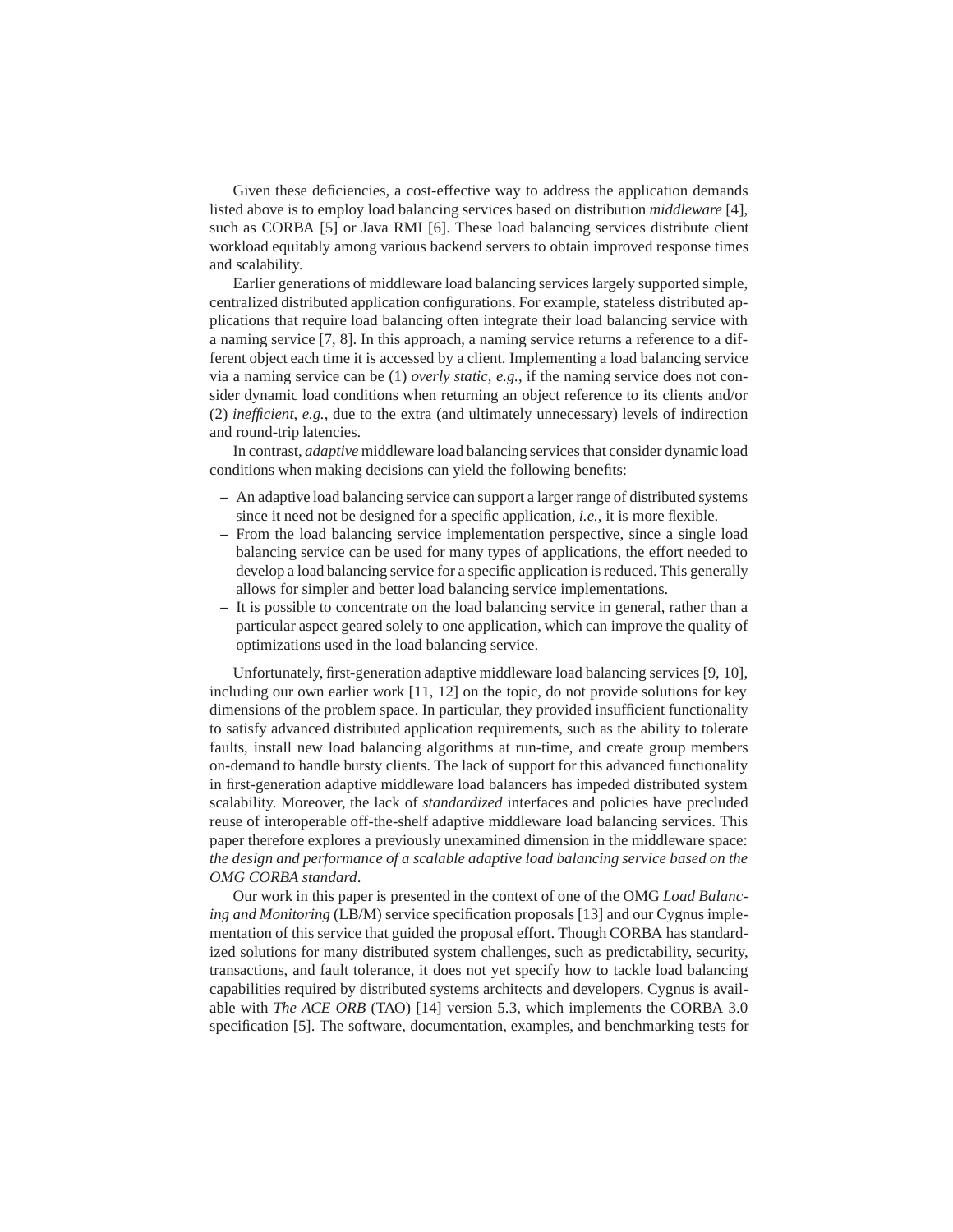Given these deficiencies, a cost-effective way to address the application demands listed above is to employ load balancing services based on distribution *middleware* [4], such as CORBA [5] or Java RMI [6]. These load balancing services distribute client workload equitably among various backend servers to obtain improved response times and scalability.

Earlier generations of middleware load balancing services largely supported simple, centralized distributed application configurations. For example, stateless distributed applications that require load balancing often integrate their load balancing service with a naming service [7, 8]. In this approach, a naming service returns a reference to a different object each time it is accessed by a client. Implementing a load balancing service via a naming service can be (1) *overly static*, *e.g.*, if the naming service does not consider dynamic load conditions when returning an object reference to its clients and/or (2) *inefficient*, *e.g.*, due to the extra (and ultimately unnecessary) levels of indirection and round-trip latencies.

In contrast, *adaptive* middleware load balancing services that consider dynamic load conditions when making decisions can yield the following benefits:

- **–** An adaptive load balancing service can support a larger range of distributed systems since it need not be designed for a specific application, *i.e.*, it is more flexible.
- **–** From the load balancing service implementation perspective, since a single load balancing service can be used for many types of applications, the effort needed to develop a load balancing service for a specific application is reduced. This generally allows for simpler and better load balancing service implementations.
- **–** It is possible to concentrate on the load balancing service in general, rather than a particular aspect geared solely to one application, which can improve the quality of optimizations used in the load balancing service.

Unfortunately, first-generation adaptive middleware load balancing services [9, 10], including our own earlier work [11, 12] on the topic, do not provide solutions for key dimensions of the problem space. In particular, they provided insufficient functionality to satisfy advanced distributed application requirements, such as the ability to tolerate faults, install new load balancing algorithms at run-time, and create group members on-demand to handle bursty clients. The lack of support for this advanced functionality in first-generation adaptive middleware load balancers has impeded distributed system scalability. Moreover, the lack of *standardized* interfaces and policies have precluded reuse of interoperable off-the-shelf adaptive middleware load balancing services. This paper therefore explores a previously unexamined dimension in the middleware space: *the design and performance of a scalable adaptive load balancing service based on the OMG CORBA standard*.

Our work in this paper is presented in the context of one of the OMG *Load Balancing and Monitoring* (LB/M) service specification proposals [13] and our Cygnus implementation of this service that guided the proposal effort. Though CORBA has standardized solutions for many distributed system challenges, such as predictability, security, transactions, and fault tolerance, it does not yet specify how to tackle load balancing capabilities required by distributed systems architects and developers. Cygnus is available with *The ACE ORB* (TAO) [14] version 5.3, which implements the CORBA 3.0 specification [5]. The software, documentation, examples, and benchmarking tests for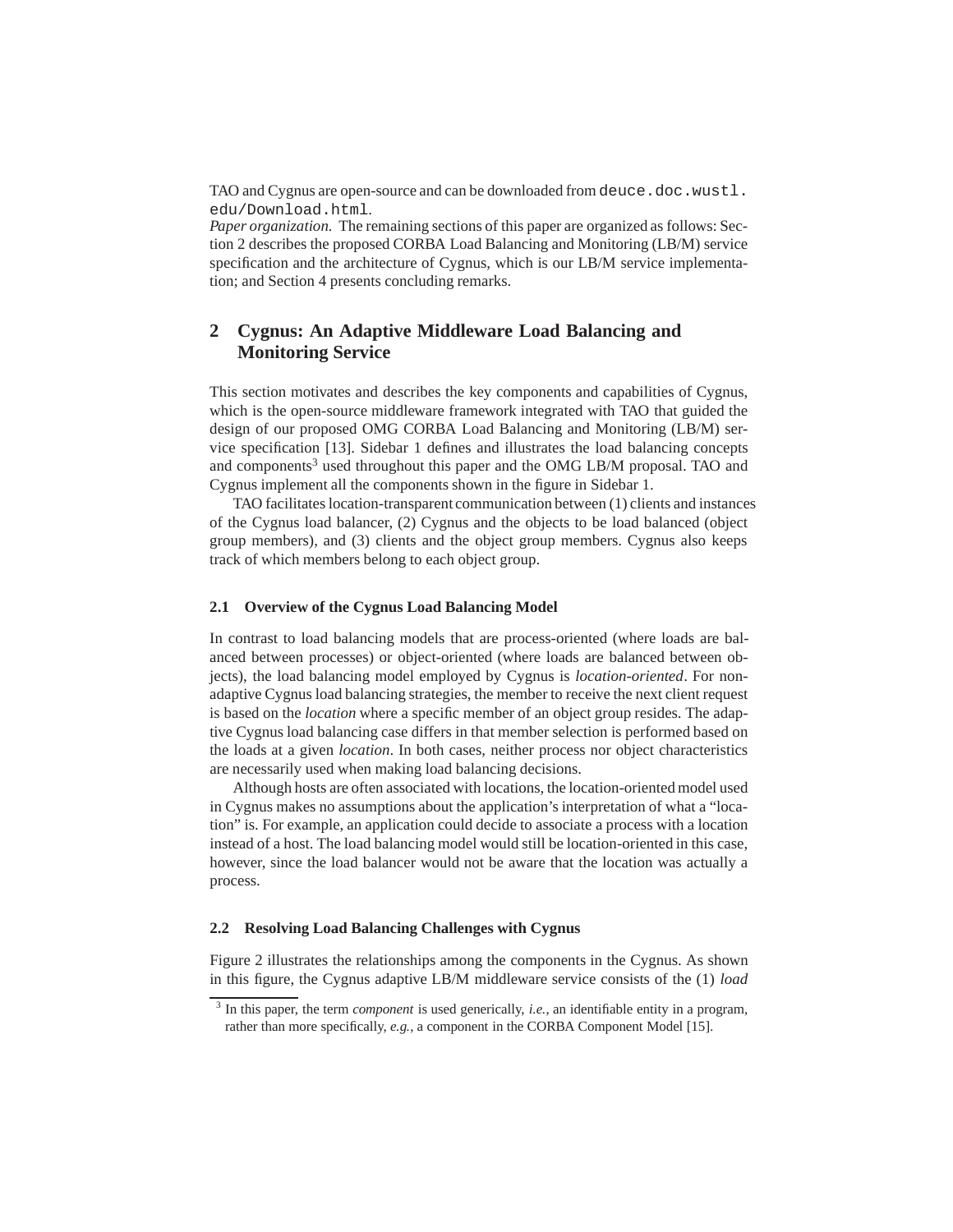TAO and Cygnus are open-source and can be downloaded from deuce.doc.wustl. edu/Download.html.

*Paper organization.* The remaining sections of this paper are organized as follows: Section 2 describes the proposed CORBA Load Balancing and Monitoring (LB/M) service specification and the architecture of Cygnus, which is our LB/M service implementation; and Section 4 presents concluding remarks.

# **2 Cygnus: An Adaptive Middleware Load Balancing and Monitoring Service**

This section motivates and describes the key components and capabilities of Cygnus, which is the open-source middleware framework integrated with TAO that guided the design of our proposed OMG CORBA Load Balancing and Monitoring (LB/M) service specification [13]. Sidebar 1 defines and illustrates the load balancing concepts and components<sup>3</sup> used throughout this paper and the OMG LB/M proposal. TAO and Cygnus implement all the components shown in the figure in Sidebar 1.

TAO facilitates location-transparent communication between (1) clients and instances of the Cygnus load balancer, (2) Cygnus and the objects to be load balanced (object group members), and (3) clients and the object group members. Cygnus also keeps track of which members belong to each object group.

#### **2.1 Overview of the Cygnus Load Balancing Model**

In contrast to load balancing models that are process-oriented (where loads are balanced between processes) or object-oriented (where loads are balanced between objects), the load balancing model employed by Cygnus is *location-oriented*. For nonadaptive Cygnus load balancing strategies, the member to receive the next client request is based on the *location* where a specific member of an object group resides. The adaptive Cygnus load balancing case differs in that member selection is performed based on the loads at a given *location*. In both cases, neither process nor object characteristics are necessarily used when making load balancing decisions.

Although hosts are often associated with locations, the location-oriented model used in Cygnus makes no assumptions about the application's interpretation of what a "location" is. For example, an application could decide to associate a process with a location instead of a host. The load balancing model would still be location-oriented in this case, however, since the load balancer would not be aware that the location was actually a process.

#### **2.2 Resolving Load Balancing Challenges with Cygnus**

Figure 2 illustrates the relationships among the components in the Cygnus. As shown in this figure, the Cygnus adaptive LB/M middleware service consists of the (1) *load*

<sup>&</sup>lt;sup>3</sup> In this paper, the term *component* is used generically, *i.e.*, an identifiable entity in a program, rather than more specifically, *e.g.*, a component in the CORBA Component Model [15].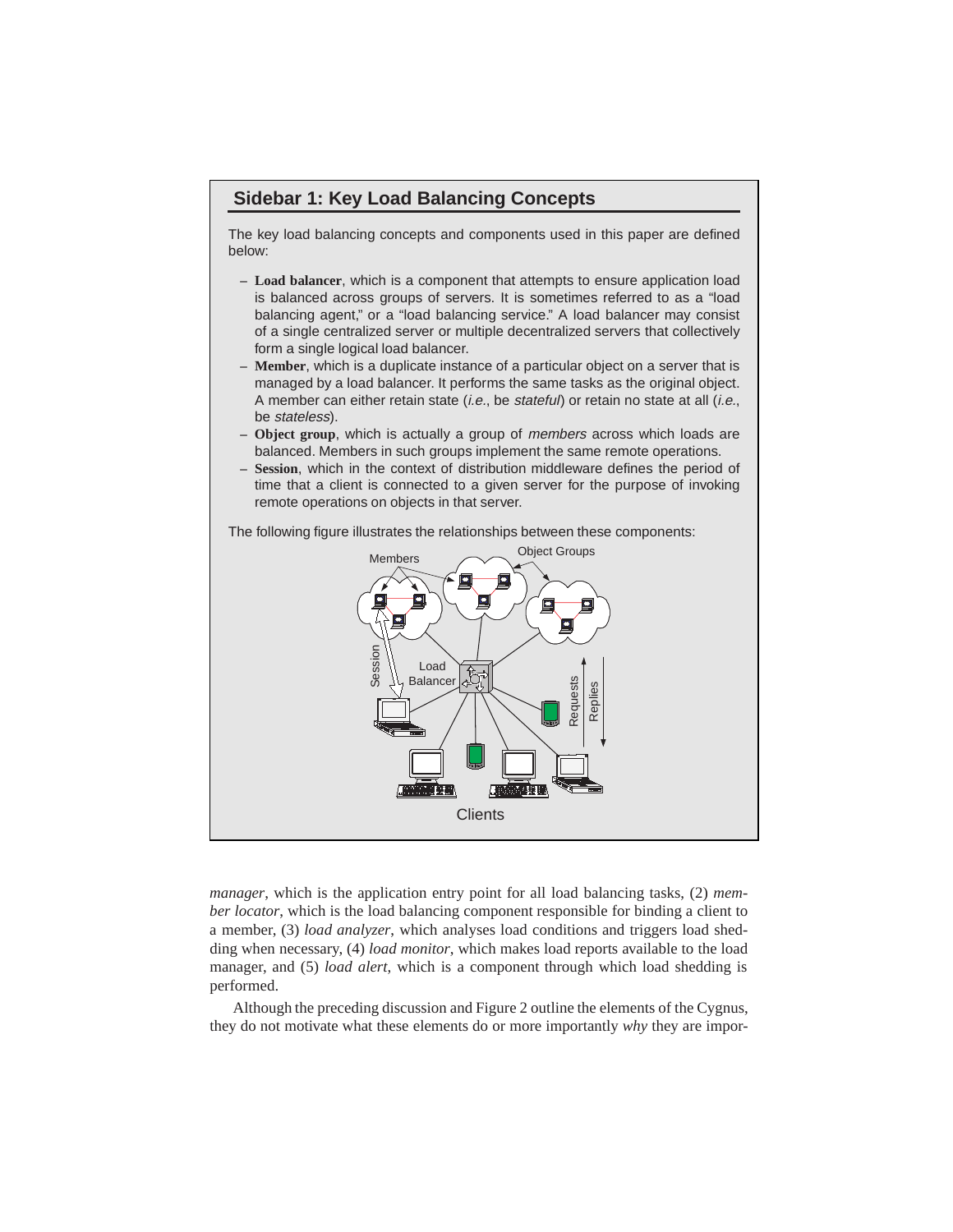# **Sidebar 1: Key Load Balancing Concepts**

The key load balancing concepts and components used in this paper are defined below:

- **Load balancer**, which is a component that attempts to ensure application load is balanced across groups of servers. It is sometimes referred to as a "load balancing agent," or a "load balancing service." A load balancer may consist of a single centralized server or multiple decentralized servers that collectively form a single logical load balancer.
- **Member**, which is a duplicate instance of a particular object on a server that is managed by a load balancer. It performs the same tasks as the original object. A member can either retain state (i.e., be stateful) or retain no state at all (i.e., be stateless).
- **Object group**, which is actually a group of members across which loads are balanced. Members in such groups implement the same remote operations.
- **Session**, which in the context of distribution middleware defines the period of time that a client is connected to a given server for the purpose of invoking remote operations on objects in that server.

The following figure illustrates the relationships between these components:



*manager*, which is the application entry point for all load balancing tasks, (2) *member locator*, which is the load balancing component responsible for binding a client to a member, (3) *load analyzer*, which analyses load conditions and triggers load shedding when necessary, (4) *load monitor*, which makes load reports available to the load manager, and (5) *load alert*, which is a component through which load shedding is performed.

Although the preceding discussion and Figure 2 outline the elements of the Cygnus, they do not motivate what these elements do or more importantly *why* they are impor-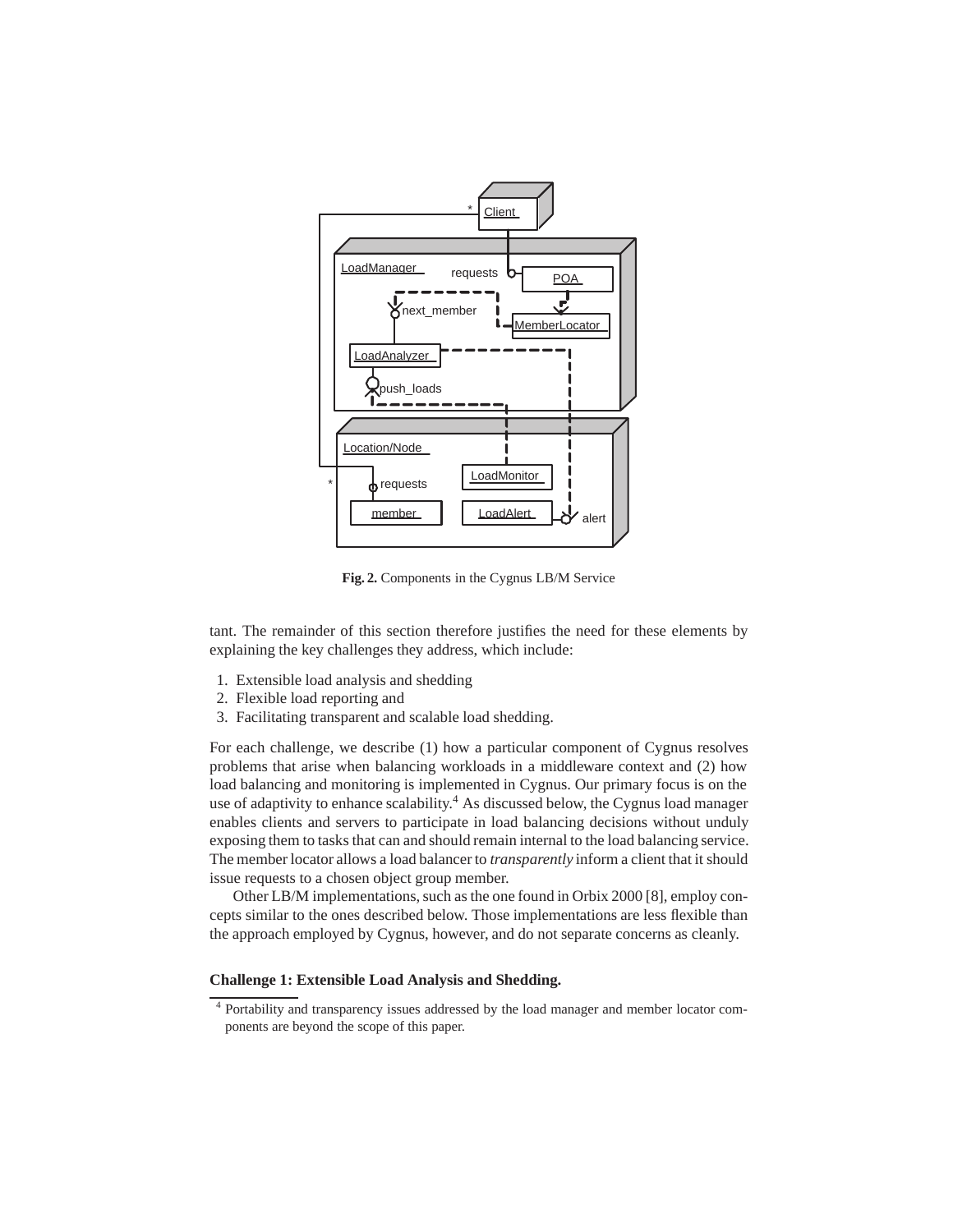

**Fig. 2.** Components in the Cygnus LB/M Service

tant. The remainder of this section therefore justifies the need for these elements by explaining the key challenges they address, which include:

- 1. Extensible load analysis and shedding
- 2. Flexible load reporting and
- 3. Facilitating transparent and scalable load shedding.

For each challenge, we describe (1) how a particular component of Cygnus resolves problems that arise when balancing workloads in a middleware context and (2) how load balancing and monitoring is implemented in Cygnus. Our primary focus is on the use of adaptivity to enhance scalability.<sup>4</sup> As discussed below, the Cygnus load manager enables clients and servers to participate in load balancing decisions without unduly exposing them to tasks that can and should remain internal to the load balancing service. The member locator allows a load balancer to *transparently* inform a client that it should issue requests to a chosen object group member.

Other LB/M implementations, such as the one found in Orbix 2000 [8], employ concepts similar to the ones described below. Those implementations are less flexible than the approach employed by Cygnus, however, and do not separate concerns as cleanly.

# **Challenge 1: Extensible Load Analysis and Shedding.**

<sup>4</sup> Portability and transparency issues addressed by the load manager and member locator components are beyond the scope of this paper.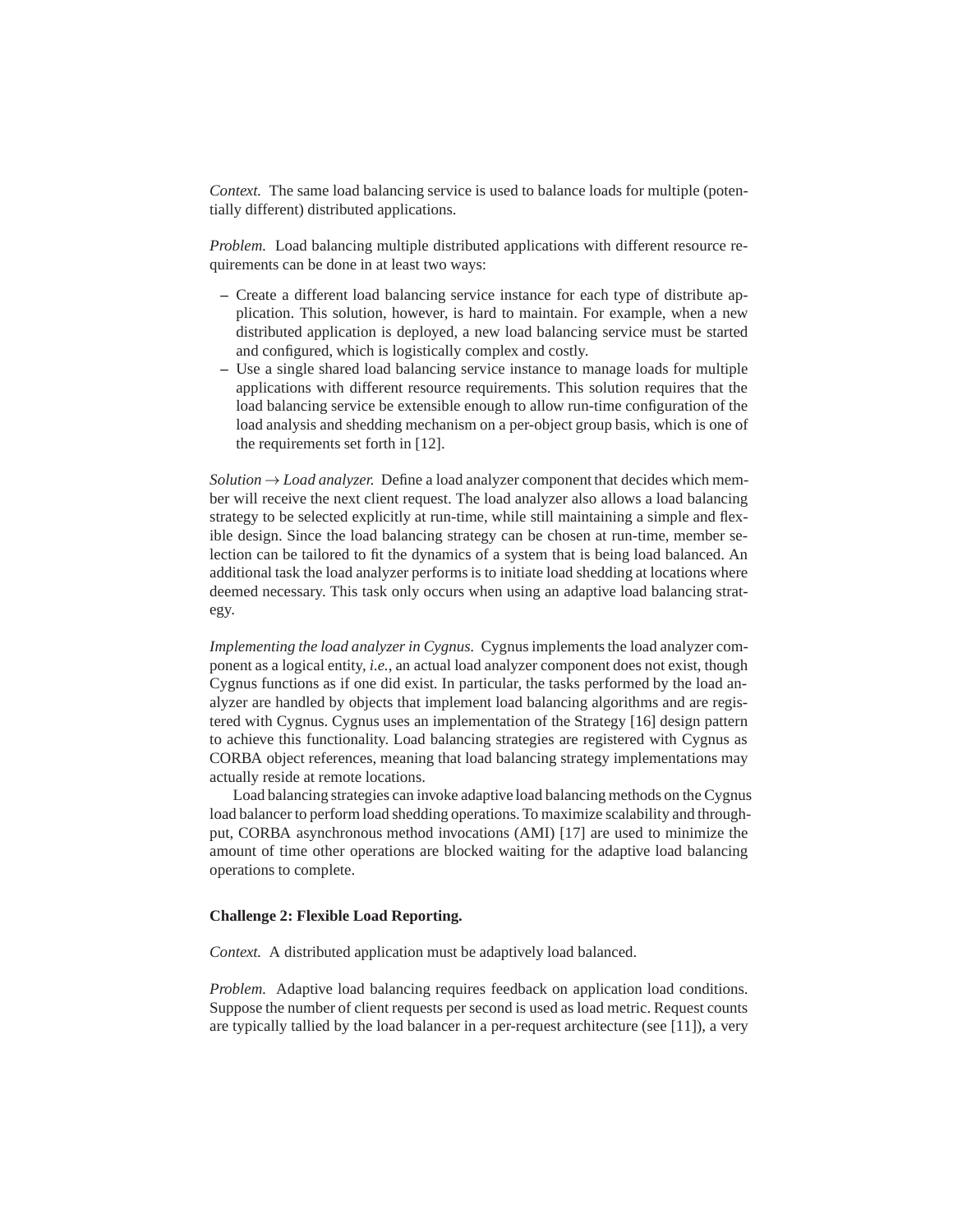*Context.* The same load balancing service is used to balance loads for multiple (potentially different) distributed applications.

*Problem.* Load balancing multiple distributed applications with different resource requirements can be done in at least two ways:

- **–** Create a different load balancing service instance for each type of distribute application. This solution, however, is hard to maintain. For example, when a new distributed application is deployed, a new load balancing service must be started and configured, which is logistically complex and costly.
- **–** Use a single shared load balancing service instance to manage loads for multiple applications with different resource requirements. This solution requires that the load balancing service be extensible enough to allow run-time configuration of the load analysis and shedding mechanism on a per-object group basis, which is one of the requirements set forth in [12].

*Solution*  $\rightarrow$  *Load analyzer.* Define a load analyzer component that decides which member will receive the next client request. The load analyzer also allows a load balancing strategy to be selected explicitly at run-time, while still maintaining a simple and flexible design. Since the load balancing strategy can be chosen at run-time, member selection can be tailored to fit the dynamics of a system that is being load balanced. An additional task the load analyzer performs is to initiate load shedding at locations where deemed necessary. This task only occurs when using an adaptive load balancing strategy.

*Implementing the load analyzer in Cygnus.* Cygnus implements the load analyzer component as a logical entity, *i.e.*, an actual load analyzer component does not exist, though Cygnus functions as if one did exist. In particular, the tasks performed by the load analyzer are handled by objects that implement load balancing algorithms and are registered with Cygnus. Cygnus uses an implementation of the Strategy [16] design pattern to achieve this functionality. Load balancing strategies are registered with Cygnus as CORBA object references, meaning that load balancing strategy implementations may actually reside at remote locations.

Load balancing strategies can invoke adaptive load balancing methods on the Cygnus load balancer to perform load shedding operations. To maximize scalability and throughput, CORBA asynchronous method invocations (AMI) [17] are used to minimize the amount of time other operations are blocked waiting for the adaptive load balancing operations to complete.

#### **Challenge 2: Flexible Load Reporting.**

*Context.* A distributed application must be adaptively load balanced.

*Problem.* Adaptive load balancing requires feedback on application load conditions. Suppose the number of client requests per second is used as load metric. Request counts are typically tallied by the load balancer in a per-request architecture (see [11]), a very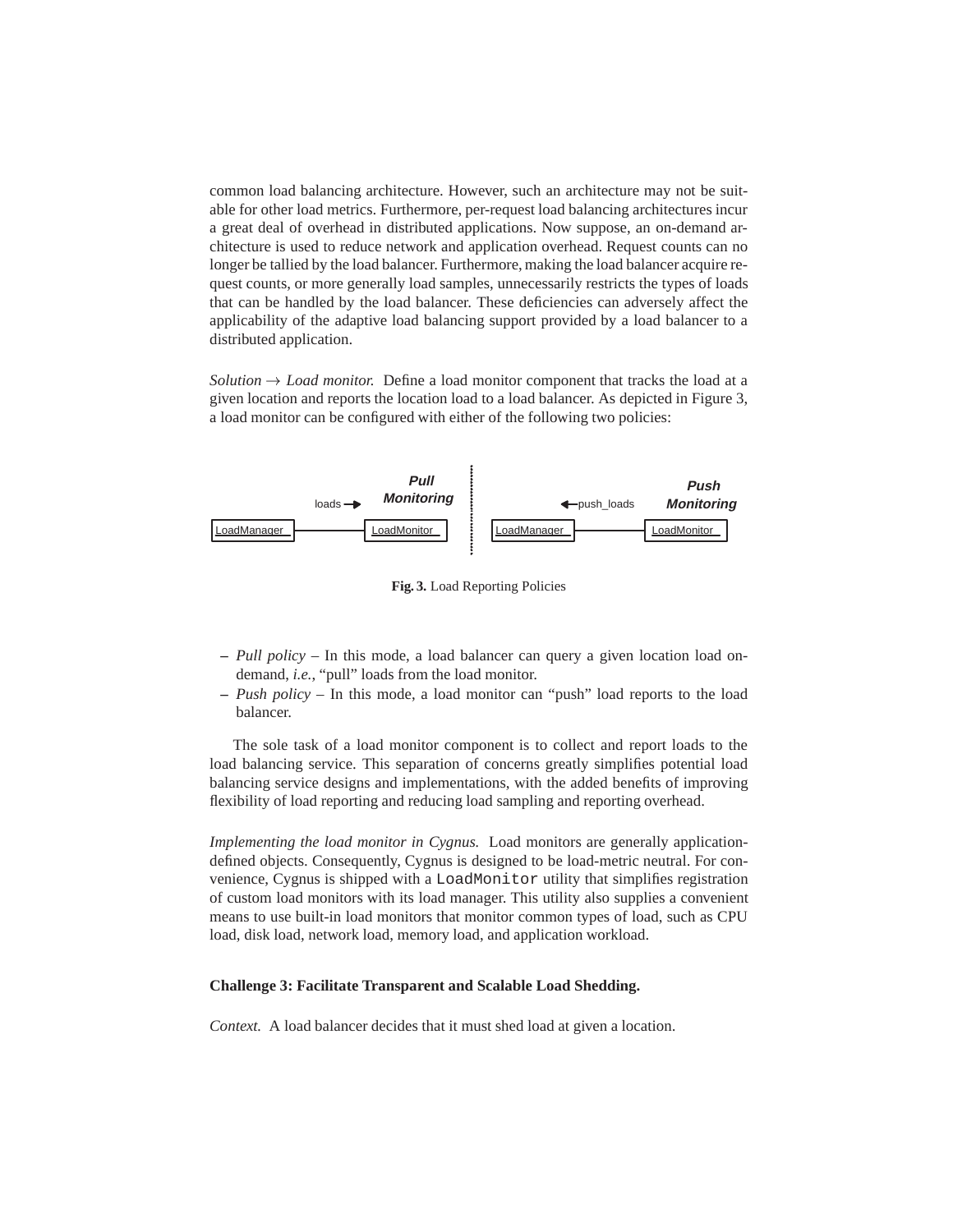common load balancing architecture. However, such an architecture may not be suitable for other load metrics. Furthermore, per-request load balancing architectures incur a great deal of overhead in distributed applications. Now suppose, an on-demand architecture is used to reduce network and application overhead. Request counts can no longer be tallied by the load balancer. Furthermore, making the load balancer acquire request counts, or more generally load samples, unnecessarily restricts the types of loads that can be handled by the load balancer. These deficiencies can adversely affect the applicability of the adaptive load balancing support provided by a load balancer to a distributed application.

*Solution*  $\rightarrow$  *Load monitor.* Define a load monitor component that tracks the load at a given location and reports the location load to a load balancer. As depicted in Figure 3, a load monitor can be configured with either of the following two policies:



**Fig. 3.** Load Reporting Policies

- **–** *Pull policy* In this mode, a load balancer can query a given location load ondemand, *i.e.*, "pull" loads from the load monitor.
- **–** *Push policy* In this mode, a load monitor can "push" load reports to the load balancer.

The sole task of a load monitor component is to collect and report loads to the load balancing service. This separation of concerns greatly simplifies potential load balancing service designs and implementations, with the added benefits of improving flexibility of load reporting and reducing load sampling and reporting overhead.

*Implementing the load monitor in Cygnus.* Load monitors are generally applicationdefined objects. Consequently, Cygnus is designed to be load-metric neutral. For convenience, Cygnus is shipped with a LoadMonitor utility that simplifies registration of custom load monitors with its load manager. This utility also supplies a convenient means to use built-in load monitors that monitor common types of load, such as CPU load, disk load, network load, memory load, and application workload.

### **Challenge 3: Facilitate Transparent and Scalable Load Shedding.**

*Context.* A load balancer decides that it must shed load at given a location.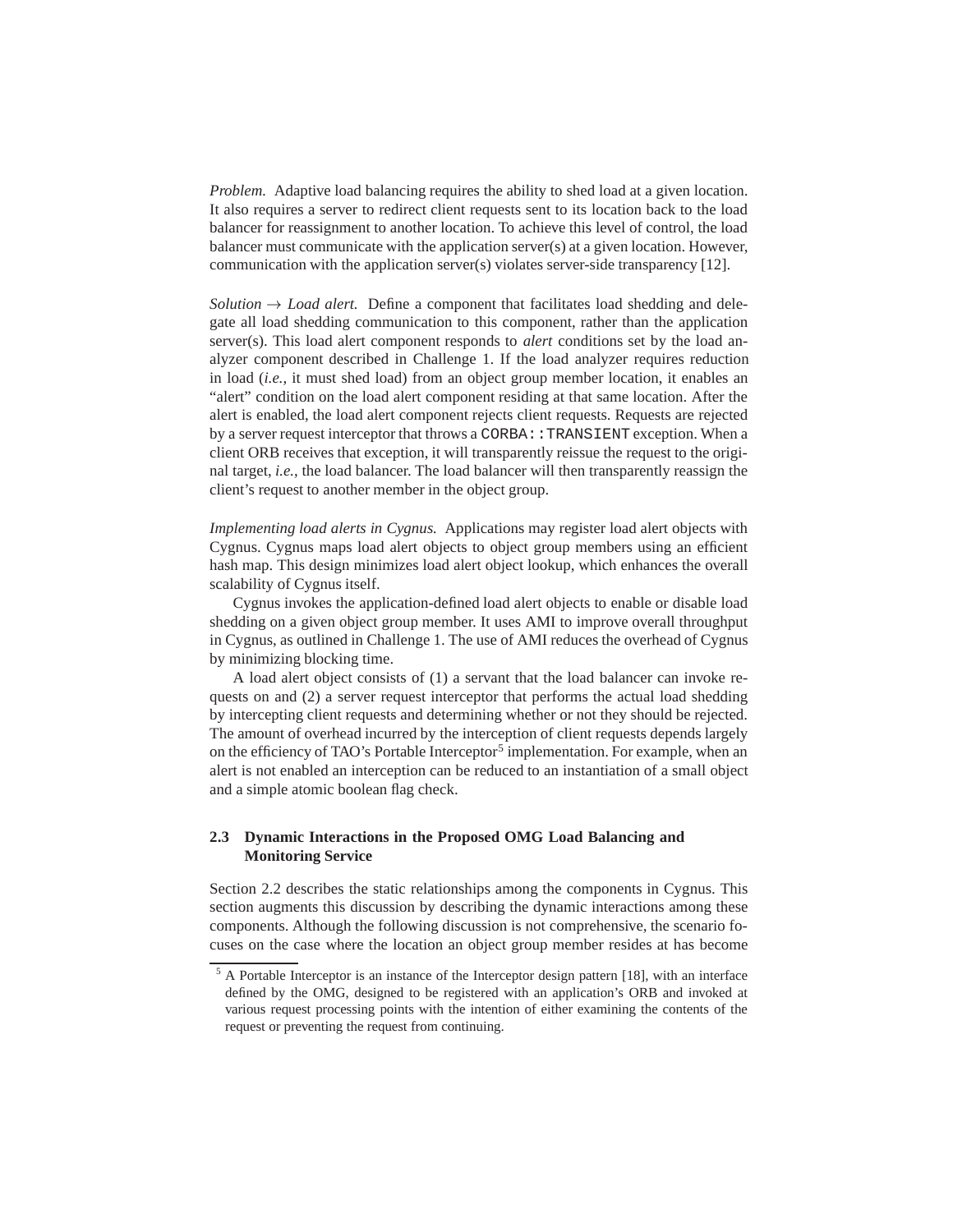*Problem.* Adaptive load balancing requires the ability to shed load at a given location. It also requires a server to redirect client requests sent to its location back to the load balancer for reassignment to another location. To achieve this level of control, the load balancer must communicate with the application server(s) at a given location. However, communication with the application server(s) violates server-side transparency [12].

*Solution*  $\rightarrow$  *Load alert.* Define a component that facilitates load shedding and delegate all load shedding communication to this component, rather than the application server(s). This load alert component responds to *alert* conditions set by the load analyzer component described in Challenge 1. If the load analyzer requires reduction in load (*i.e.*, it must shed load) from an object group member location, it enables an "alert" condition on the load alert component residing at that same location. After the alert is enabled, the load alert component rejects client requests. Requests are rejected by a server request interceptor that throws a CORBA:: TRANSIENT exception. When a client ORB receives that exception, it will transparently reissue the request to the original target, *i.e.*, the load balancer. The load balancer will then transparently reassign the client's request to another member in the object group.

*Implementing load alerts in Cygnus.* Applications may register load alert objects with Cygnus. Cygnus maps load alert objects to object group members using an efficient hash map. This design minimizes load alert object lookup, which enhances the overall scalability of Cygnus itself.

Cygnus invokes the application-defined load alert objects to enable or disable load shedding on a given object group member. It uses AMI to improve overall throughput in Cygnus, as outlined in Challenge 1. The use of AMI reduces the overhead of Cygnus by minimizing blocking time.

A load alert object consists of (1) a servant that the load balancer can invoke requests on and (2) a server request interceptor that performs the actual load shedding by intercepting client requests and determining whether or not they should be rejected. The amount of overhead incurred by the interception of client requests depends largely on the efficiency of TAO's Portable Interceptor<sup>5</sup> implementation. For example, when an alert is not enabled an interception can be reduced to an instantiation of a small object and a simple atomic boolean flag check.

# **2.3 Dynamic Interactions in the Proposed OMG Load Balancing and Monitoring Service**

Section 2.2 describes the static relationships among the components in Cygnus. This section augments this discussion by describing the dynamic interactions among these components. Although the following discussion is not comprehensive, the scenario focuses on the case where the location an object group member resides at has become

<sup>&</sup>lt;sup>5</sup> A Portable Interceptor is an instance of the Interceptor design pattern [18], with an interface defined by the OMG, designed to be registered with an application's ORB and invoked at various request processing points with the intention of either examining the contents of the request or preventing the request from continuing.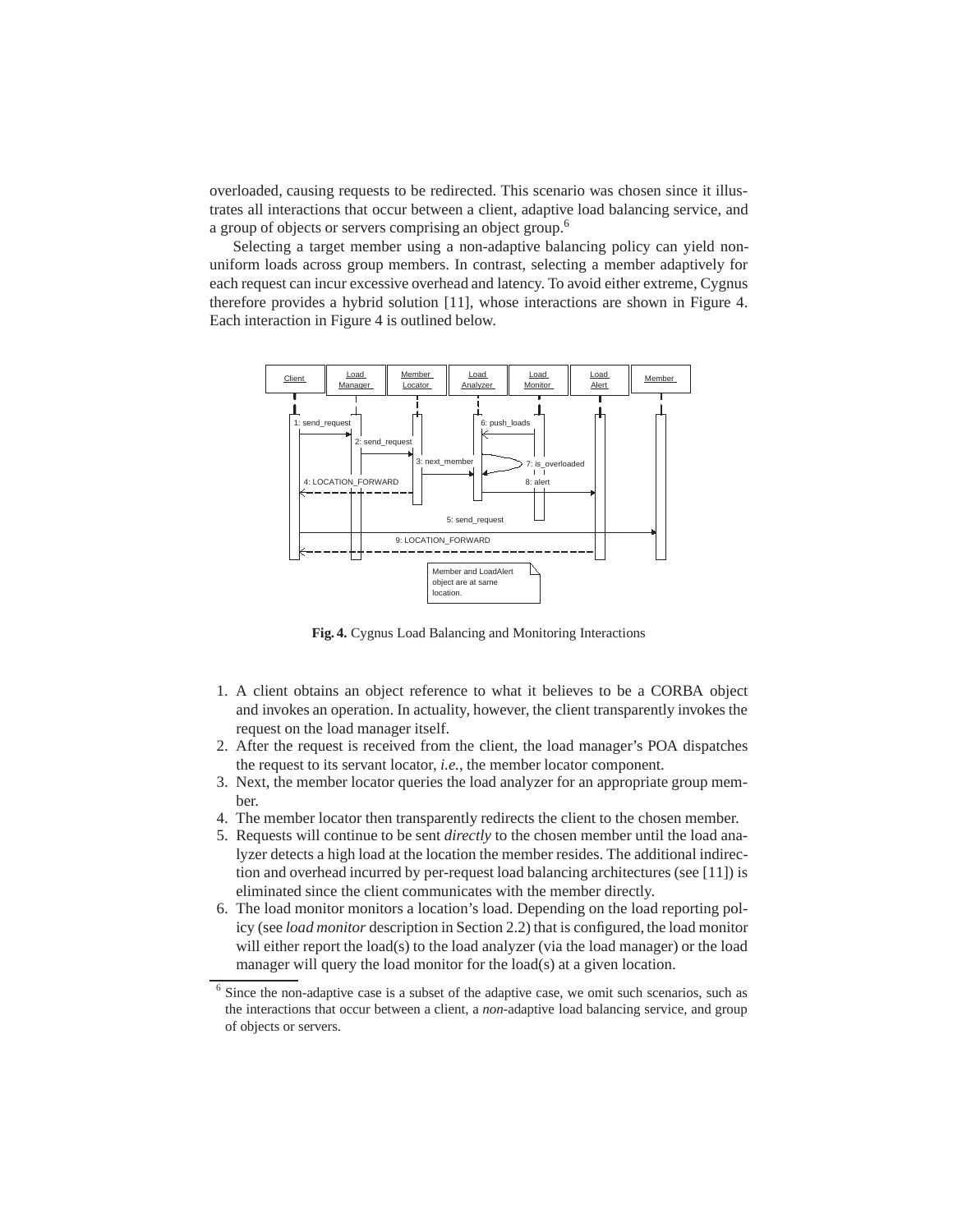overloaded, causing requests to be redirected. This scenario was chosen since it illustrates all interactions that occur between a client, adaptive load balancing service, and a group of objects or servers comprising an object group.<sup>6</sup>

Selecting a target member using a non-adaptive balancing policy can yield nonuniform loads across group members. In contrast, selecting a member adaptively for each request can incur excessive overhead and latency. To avoid either extreme, Cygnus therefore provides a hybrid solution [11], whose interactions are shown in Figure 4. Each interaction in Figure 4 is outlined below.



**Fig. 4.** Cygnus Load Balancing and Monitoring Interactions

- 1. A client obtains an object reference to what it believes to be a CORBA object and invokes an operation. In actuality, however, the client transparently invokes the request on the load manager itself.
- 2. After the request is received from the client, the load manager's POA dispatches the request to its servant locator, *i.e.*, the member locator component.
- 3. Next, the member locator queries the load analyzer for an appropriate group member.
- 4. The member locator then transparently redirects the client to the chosen member.
- 5. Requests will continue to be sent *directly* to the chosen member until the load analyzer detects a high load at the location the member resides. The additional indirection and overhead incurred by per-request load balancing architectures (see [11]) is eliminated since the client communicates with the member directly.
- 6. The load monitor monitors a location's load. Depending on the load reporting policy (see *load monitor* description in Section 2.2) that is configured, the load monitor will either report the load(s) to the load analyzer (via the load manager) or the load manager will query the load monitor for the load(s) at a given location.

<sup>&</sup>lt;sup>6</sup> Since the non-adaptive case is a subset of the adaptive case, we omit such scenarios, such as the interactions that occur between a client, a *non*-adaptive load balancing service, and group of objects or servers.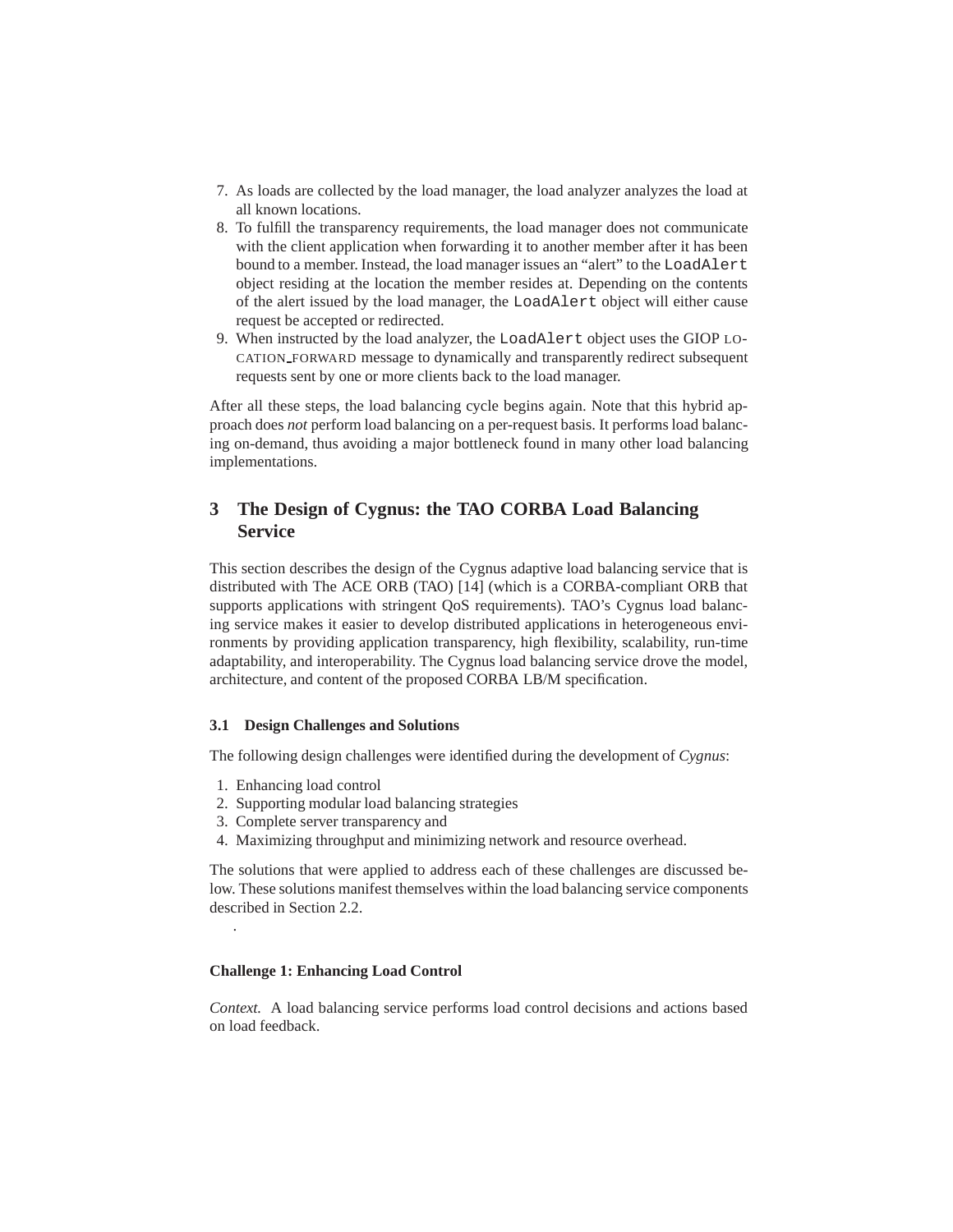- 7. As loads are collected by the load manager, the load analyzer analyzes the load at all known locations.
- 8. To fulfill the transparency requirements, the load manager does not communicate with the client application when forwarding it to another member after it has been bound to a member. Instead, the load manager issues an "alert" to the LoadAlert object residing at the location the member resides at. Depending on the contents of the alert issued by the load manager, the LoadAlert object will either cause request be accepted or redirected.
- 9. When instructed by the load analyzer, the LoadAlert object uses the GIOP LO-CATION FORWARD message to dynamically and transparently redirect subsequent requests sent by one or more clients back to the load manager.

After all these steps, the load balancing cycle begins again. Note that this hybrid approach does *not* perform load balancing on a per-request basis. It performs load balancing on-demand, thus avoiding a major bottleneck found in many other load balancing implementations.

# **3 The Design of Cygnus: the TAO CORBA Load Balancing Service**

This section describes the design of the Cygnus adaptive load balancing service that is distributed with The ACE ORB (TAO) [14] (which is a CORBA-compliant ORB that supports applications with stringent QoS requirements). TAO's Cygnus load balancing service makes it easier to develop distributed applications in heterogeneous environments by providing application transparency, high flexibility, scalability, run-time adaptability, and interoperability. The Cygnus load balancing service drove the model, architecture, and content of the proposed CORBA LB/M specification.

### **3.1 Design Challenges and Solutions**

The following design challenges were identified during the development of *Cygnus*:

1. Enhancing load control

.

- 2. Supporting modular load balancing strategies
- 3. Complete server transparency and
- 4. Maximizing throughput and minimizing network and resource overhead.

The solutions that were applied to address each of these challenges are discussed below. These solutions manifest themselves within the load balancing service components described in Section 2.2.

#### **Challenge 1: Enhancing Load Control**

*Context.* A load balancing service performs load control decisions and actions based on load feedback.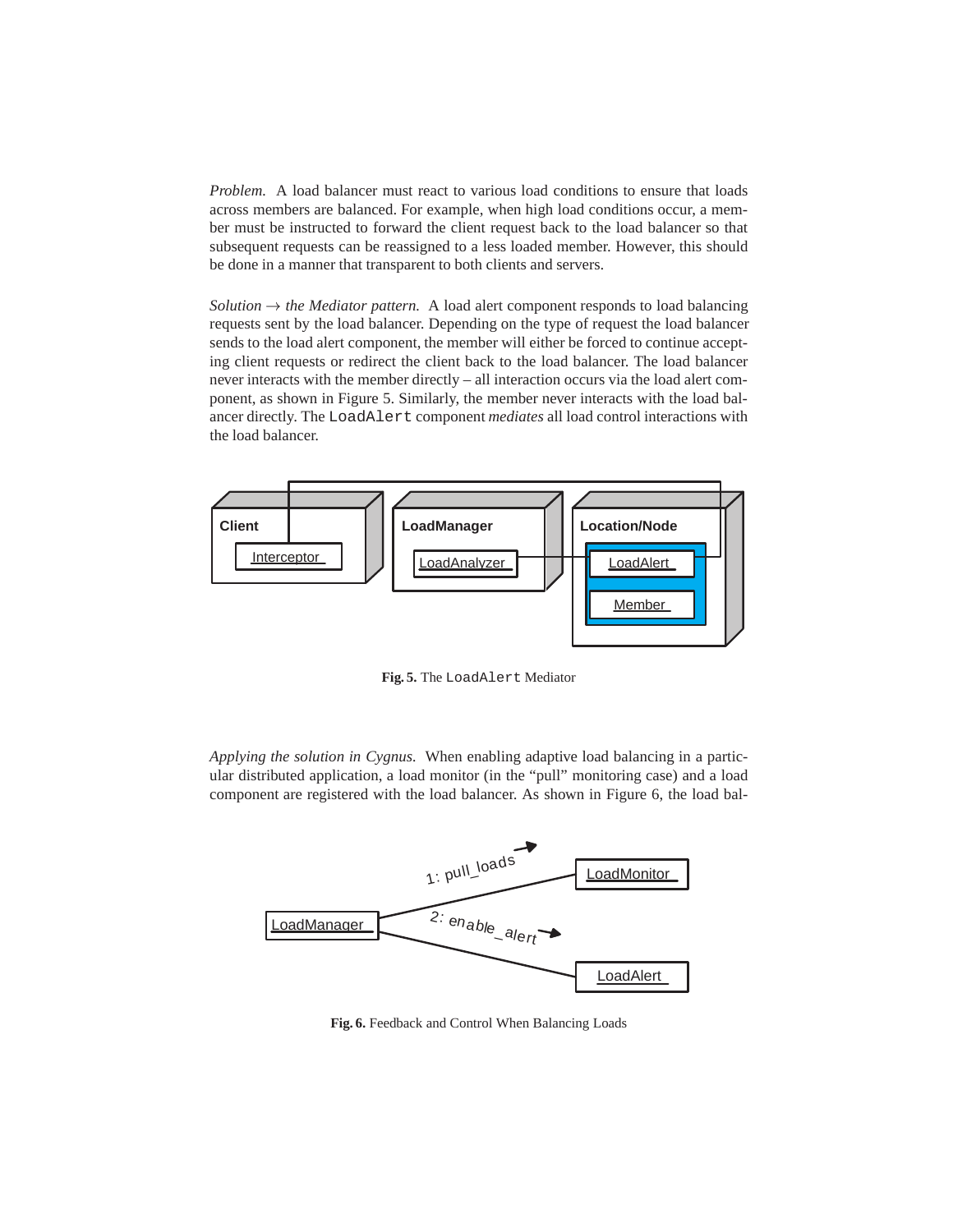*Problem.* A load balancer must react to various load conditions to ensure that loads across members are balanced. For example, when high load conditions occur, a member must be instructed to forward the client request back to the load balancer so that subsequent requests can be reassigned to a less loaded member. However, this should be done in a manner that transparent to both clients and servers.

*Solution*  $\rightarrow$  *the Mediator pattern.* A load alert component responds to load balancing requests sent by the load balancer. Depending on the type of request the load balancer sends to the load alert component, the member will either be forced to continue accepting client requests or redirect the client back to the load balancer. The load balancer never interacts with the member directly – all interaction occurs via the load alert component, as shown in Figure 5. Similarly, the member never interacts with the load balancer directly. The LoadAlert component *mediates* all load control interactions with the load balancer.



**Fig. 5.** The LoadAlert Mediator

*Applying the solution in Cygnus.* When enabling adaptive load balancing in a particular distributed application, a load monitor (in the "pull" monitoring case) and a load component are registered with the load balancer. As shown in Figure 6, the load bal-



**Fig. 6.** Feedback and Control When Balancing Loads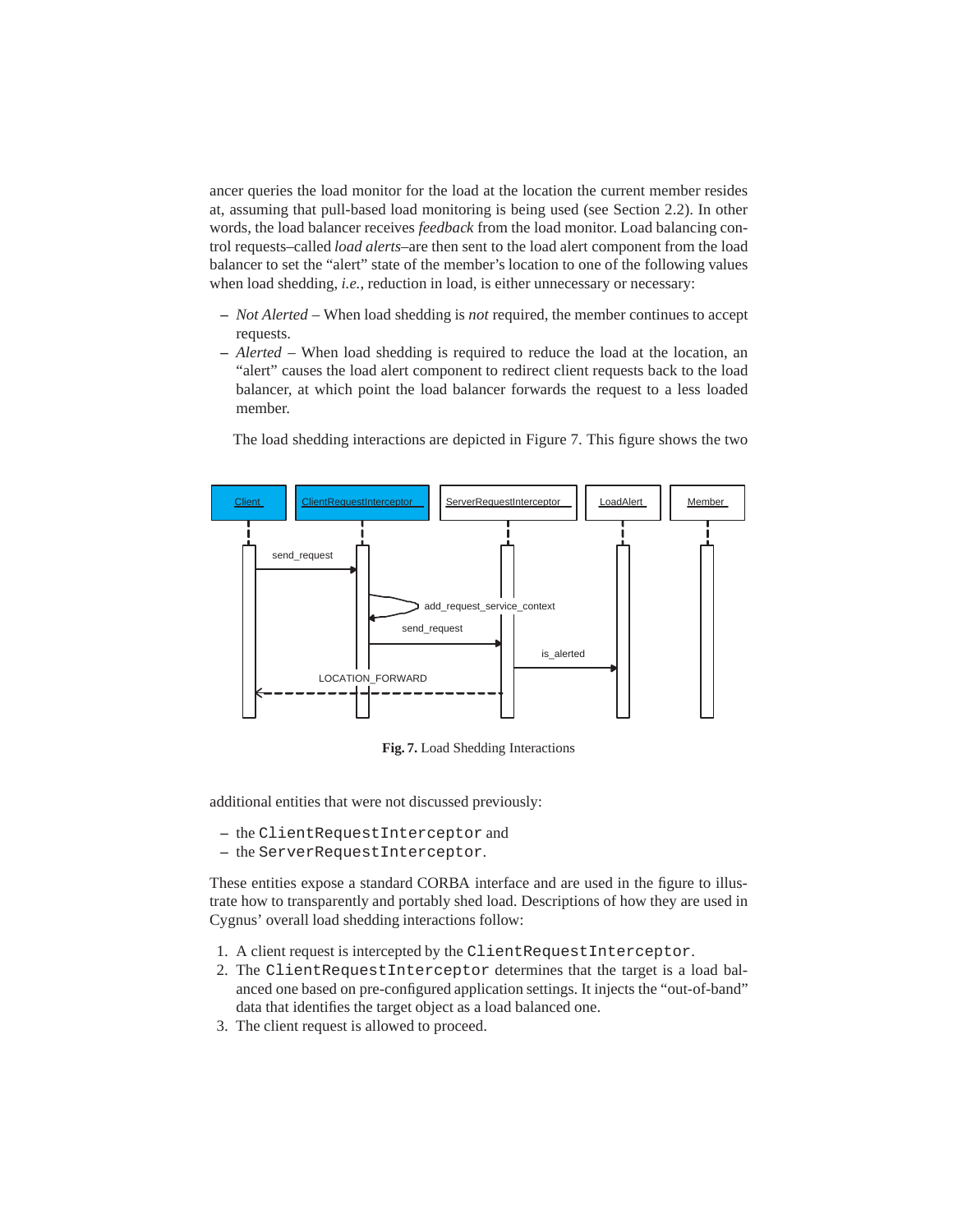ancer queries the load monitor for the load at the location the current member resides at, assuming that pull-based load monitoring is being used (see Section 2.2). In other words, the load balancer receives *feedback* from the load monitor. Load balancing control requests–called *load alerts*–are then sent to the load alert component from the load balancer to set the "alert" state of the member's location to one of the following values when load shedding, *i.e.*, reduction in load, is either unnecessary or necessary:

- **–** *Not Alerted* When load shedding is *not* required, the member continues to accept requests.
- **–** *Alerted* When load shedding is required to reduce the load at the location, an "alert" causes the load alert component to redirect client requests back to the load balancer, at which point the load balancer forwards the request to a less loaded member.

The load shedding interactions are depicted in Figure 7. This figure shows the two



**Fig. 7.** Load Shedding Interactions

additional entities that were not discussed previously:

- **–** the ClientRequestInterceptor and
- **–** the ServerRequestInterceptor.

These entities expose a standard CORBA interface and are used in the figure to illustrate how to transparently and portably shed load. Descriptions of how they are used in Cygnus' overall load shedding interactions follow:

- 1. A client request is intercepted by the ClientRequestInterceptor.
- 2. The ClientRequestInterceptor determines that the target is a load balanced one based on pre-configured application settings. It injects the "out-of-band" data that identifies the target object as a load balanced one.
- 3. The client request is allowed to proceed.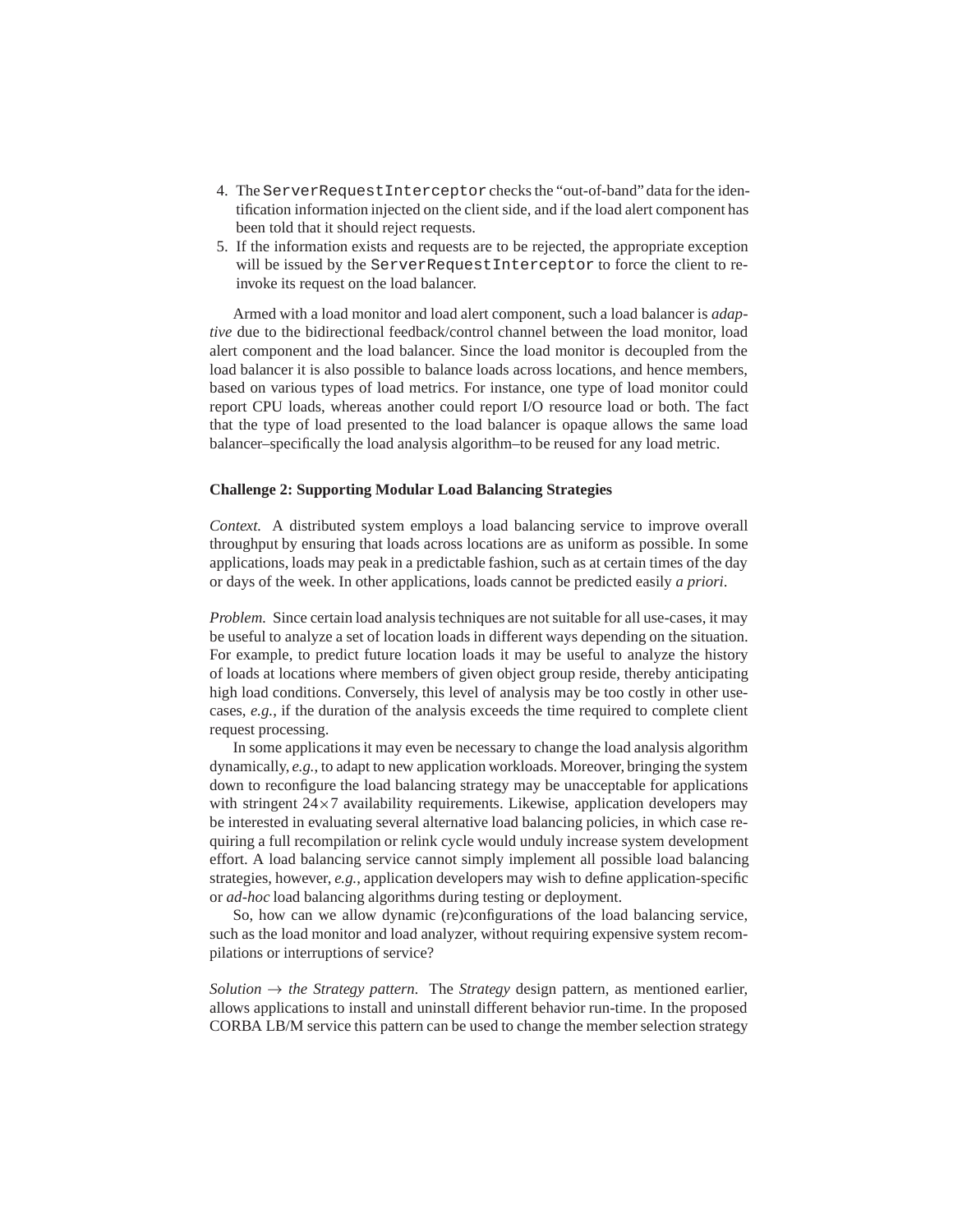- 4. The ServerRequestInterceptor checks the "out-of-band" data for the identification information injected on the client side, and if the load alert component has been told that it should reject requests.
- 5. If the information exists and requests are to be rejected, the appropriate exception will be issued by the ServerRequestInterceptor to force the client to reinvoke its request on the load balancer.

Armed with a load monitor and load alert component, such a load balancer is *adaptive* due to the bidirectional feedback/control channel between the load monitor, load alert component and the load balancer. Since the load monitor is decoupled from the load balancer it is also possible to balance loads across locations, and hence members, based on various types of load metrics. For instance, one type of load monitor could report CPU loads, whereas another could report I/O resource load or both. The fact that the type of load presented to the load balancer is opaque allows the same load balancer–specifically the load analysis algorithm–to be reused for any load metric.

#### **Challenge 2: Supporting Modular Load Balancing Strategies**

*Context.* A distributed system employs a load balancing service to improve overall throughput by ensuring that loads across locations are as uniform as possible. In some applications, loads may peak in a predictable fashion, such as at certain times of the day or days of the week. In other applications, loads cannot be predicted easily *a priori*.

*Problem.* Since certain load analysis techniques are not suitable for all use-cases, it may be useful to analyze a set of location loads in different ways depending on the situation. For example, to predict future location loads it may be useful to analyze the history of loads at locations where members of given object group reside, thereby anticipating high load conditions. Conversely, this level of analysis may be too costly in other usecases, *e.g.*, if the duration of the analysis exceeds the time required to complete client request processing.

In some applications it may even be necessary to change the load analysis algorithm dynamically, *e.g.*, to adapt to new application workloads. Moreover, bringing the system down to reconfigure the load balancing strategy may be unacceptable for applications with stringent  $24\times7$  availability requirements. Likewise, application developers may be interested in evaluating several alternative load balancing policies, in which case requiring a full recompilation or relink cycle would unduly increase system development effort. A load balancing service cannot simply implement all possible load balancing strategies, however, *e.g.*, application developers may wish to define application-specific or *ad-hoc* load balancing algorithms during testing or deployment.

So, how can we allow dynamic (re)configurations of the load balancing service, such as the load monitor and load analyzer, without requiring expensive system recompilations or interruptions of service?

*Solution*  $\rightarrow$  *the Strategy pattern.* The *Strategy* design pattern, as mentioned earlier, allows applications to install and uninstall different behavior run-time. In the proposed CORBA LB/M service this pattern can be used to change the member selection strategy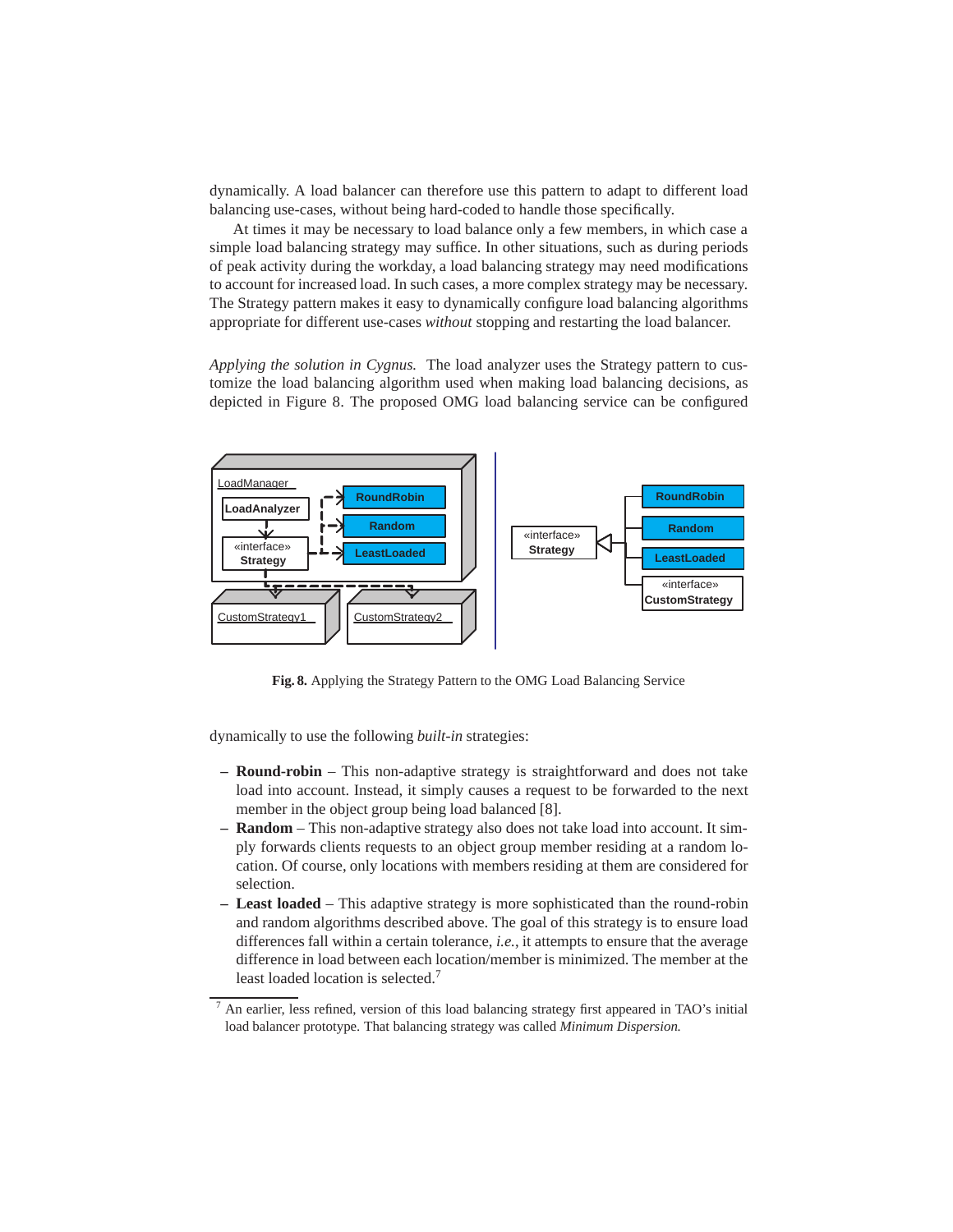dynamically. A load balancer can therefore use this pattern to adapt to different load balancing use-cases, without being hard-coded to handle those specifically.

At times it may be necessary to load balance only a few members, in which case a simple load balancing strategy may suffice. In other situations, such as during periods of peak activity during the workday, a load balancing strategy may need modifications to account for increased load. In such cases, a more complex strategy may be necessary. The Strategy pattern makes it easy to dynamically configure load balancing algorithms appropriate for different use-cases *without* stopping and restarting the load balancer.

*Applying the solution in Cygnus.* The load analyzer uses the Strategy pattern to customize the load balancing algorithm used when making load balancing decisions, as depicted in Figure 8. The proposed OMG load balancing service can be configured



**Fig. 8.** Applying the Strategy Pattern to the OMG Load Balancing Service

dynamically to use the following *built-in* strategies:

- **Round-robin** This non-adaptive strategy is straightforward and does not take load into account. Instead, it simply causes a request to be forwarded to the next member in the object group being load balanced [8].
- **Random** This non-adaptive strategy also does not take load into account. It simply forwards clients requests to an object group member residing at a random location. Of course, only locations with members residing at them are considered for selection.
- **Least loaded** This adaptive strategy is more sophisticated than the round-robin and random algorithms described above. The goal of this strategy is to ensure load differences fall within a certain tolerance, *i.e.*, it attempts to ensure that the average difference in load between each location/member is minimized. The member at the least loaded location is selected.<sup>7</sup>

<sup>7</sup> An earlier, less refined, version of this load balancing strategy first appeared in TAO's initial load balancer prototype. That balancing strategy was called *Minimum Dispersion.*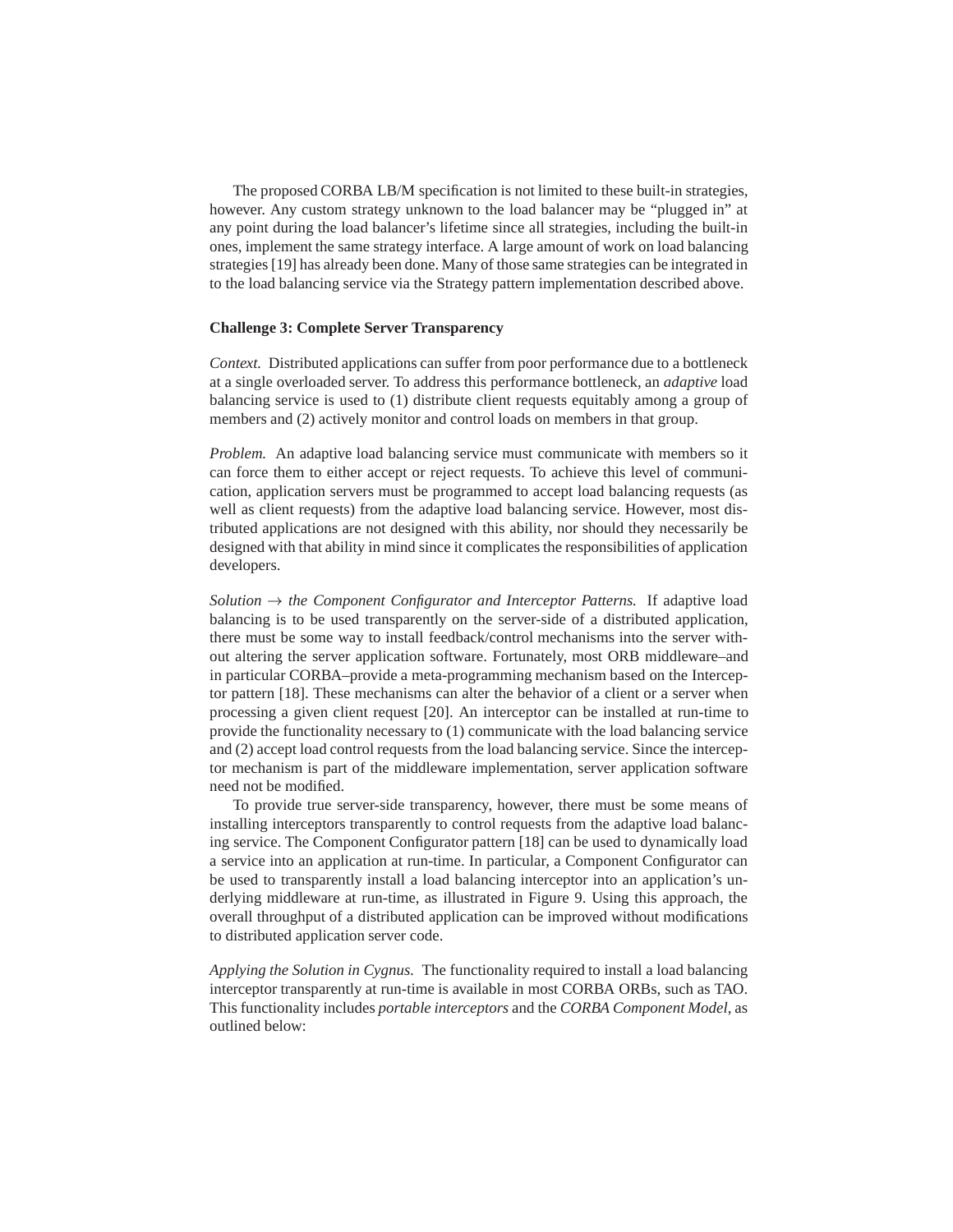The proposed CORBA LB/M specification is not limited to these built-in strategies, however. Any custom strategy unknown to the load balancer may be "plugged in" at any point during the load balancer's lifetime since all strategies, including the built-in ones, implement the same strategy interface. A large amount of work on load balancing strategies [19] has already been done. Many of those same strategies can be integrated in to the load balancing service via the Strategy pattern implementation described above.

#### **Challenge 3: Complete Server Transparency**

*Context.* Distributed applications can suffer from poor performance due to a bottleneck at a single overloaded server. To address this performance bottleneck, an *adaptive* load balancing service is used to (1) distribute client requests equitably among a group of members and (2) actively monitor and control loads on members in that group.

*Problem.* An adaptive load balancing service must communicate with members so it can force them to either accept or reject requests. To achieve this level of communication, application servers must be programmed to accept load balancing requests (as well as client requests) from the adaptive load balancing service. However, most distributed applications are not designed with this ability, nor should they necessarily be designed with that ability in mind since it complicates the responsibilities of application developers.

*Solution*  $\rightarrow$  *the Component Configurator and Interceptor Patterns.* If adaptive load balancing is to be used transparently on the server-side of a distributed application, there must be some way to install feedback/control mechanisms into the server without altering the server application software. Fortunately, most ORB middleware–and in particular CORBA–provide a meta-programming mechanism based on the Interceptor pattern [18]. These mechanisms can alter the behavior of a client or a server when processing a given client request [20]. An interceptor can be installed at run-time to provide the functionality necessary to (1) communicate with the load balancing service and (2) accept load control requests from the load balancing service. Since the interceptor mechanism is part of the middleware implementation, server application software need not be modified.

To provide true server-side transparency, however, there must be some means of installing interceptors transparently to control requests from the adaptive load balancing service. The Component Configurator pattern [18] can be used to dynamically load a service into an application at run-time. In particular, a Component Configurator can be used to transparently install a load balancing interceptor into an application's underlying middleware at run-time, as illustrated in Figure 9. Using this approach, the overall throughput of a distributed application can be improved without modifications to distributed application server code.

*Applying the Solution in Cygnus.* The functionality required to install a load balancing interceptor transparently at run-time is available in most CORBA ORBs, such as TAO. This functionality includes *portable interceptors* and the *CORBA Component Model*, as outlined below: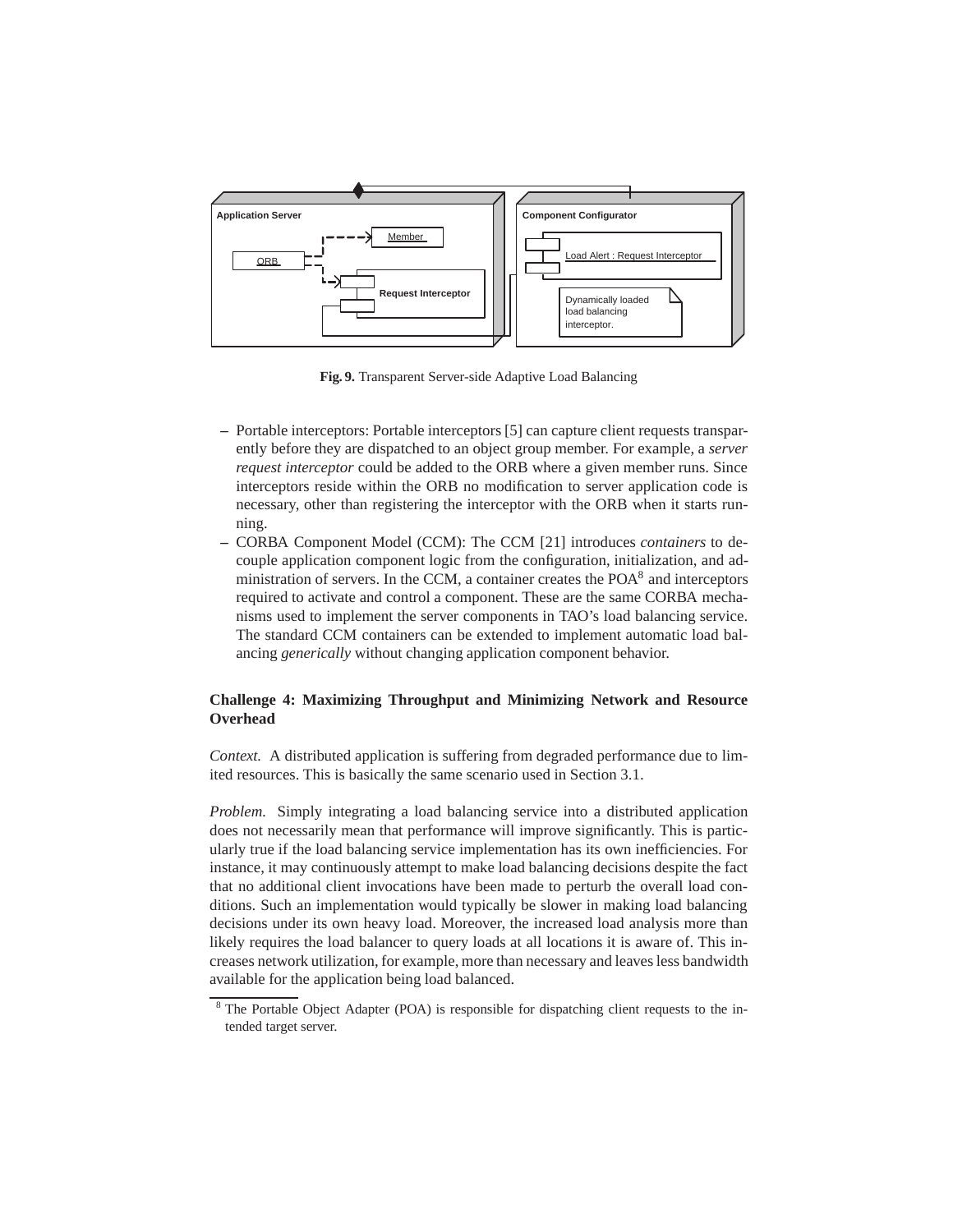

**Fig. 9.** Transparent Server-side Adaptive Load Balancing

- **–** Portable interceptors: Portable interceptors [5] can capture client requests transparently before they are dispatched to an object group member. For example, a *server request interceptor* could be added to the ORB where a given member runs. Since interceptors reside within the ORB no modification to server application code is necessary, other than registering the interceptor with the ORB when it starts running.
- **–** CORBA Component Model (CCM): The CCM [21] introduces *containers* to decouple application component logic from the configuration, initialization, and administration of servers. In the CCM, a container creates the POA<sup>8</sup> and interceptors required to activate and control a component. These are the same CORBA mechanisms used to implement the server components in TAO's load balancing service. The standard CCM containers can be extended to implement automatic load balancing *generically* without changing application component behavior.

# **Challenge 4: Maximizing Throughput and Minimizing Network and Resource Overhead**

*Context.* A distributed application is suffering from degraded performance due to limited resources. This is basically the same scenario used in Section 3.1.

*Problem.* Simply integrating a load balancing service into a distributed application does not necessarily mean that performance will improve significantly. This is particularly true if the load balancing service implementation has its own inefficiencies. For instance, it may continuously attempt to make load balancing decisions despite the fact that no additional client invocations have been made to perturb the overall load conditions. Such an implementation would typically be slower in making load balancing decisions under its own heavy load. Moreover, the increased load analysis more than likely requires the load balancer to query loads at all locations it is aware of. This increases network utilization, for example, more than necessary and leaves less bandwidth available for the application being load balanced.

<sup>&</sup>lt;sup>8</sup> The Portable Object Adapter (POA) is responsible for dispatching client requests to the intended target server.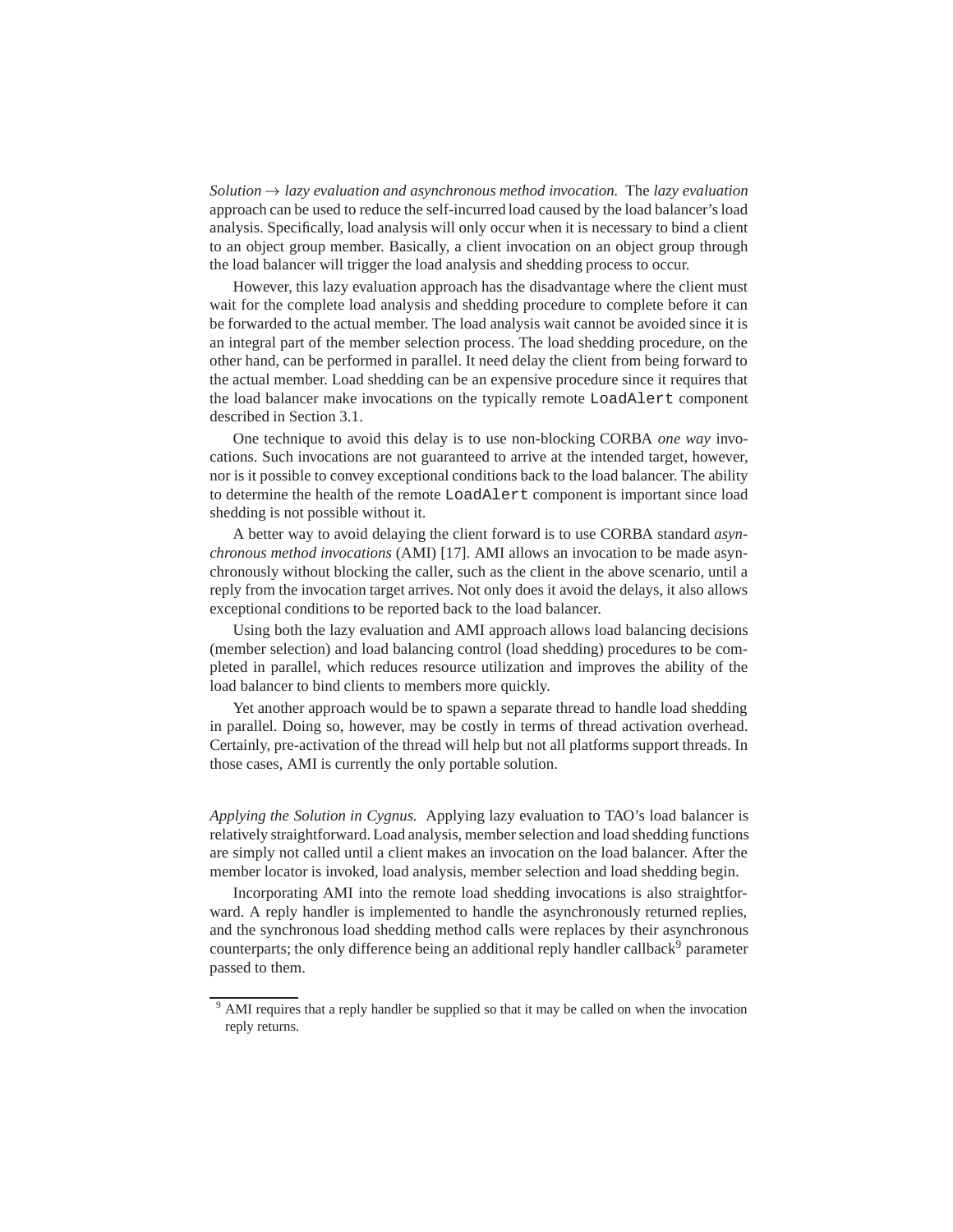*Solution*  $\rightarrow$  *lazy evaluation and asynchronous method invocation.* The *lazy evaluation* approach can be used to reduce the self-incurred load caused by the load balancer's load analysis. Specifically, load analysis will only occur when it is necessary to bind a client to an object group member. Basically, a client invocation on an object group through the load balancer will trigger the load analysis and shedding process to occur.

However, this lazy evaluation approach has the disadvantage where the client must wait for the complete load analysis and shedding procedure to complete before it can be forwarded to the actual member. The load analysis wait cannot be avoided since it is an integral part of the member selection process. The load shedding procedure, on the other hand, can be performed in parallel. It need delay the client from being forward to the actual member. Load shedding can be an expensive procedure since it requires that the load balancer make invocations on the typically remote LoadAlert component described in Section 3.1.

One technique to avoid this delay is to use non-blocking CORBA *one way* invocations. Such invocations are not guaranteed to arrive at the intended target, however, nor is it possible to convey exceptional conditions back to the load balancer. The ability to determine the health of the remote LoadAlert component is important since load shedding is not possible without it.

A better way to avoid delaying the client forward is to use CORBA standard *asynchronous method invocations* (AMI) [17]. AMI allows an invocation to be made asynchronously without blocking the caller, such as the client in the above scenario, until a reply from the invocation target arrives. Not only does it avoid the delays, it also allows exceptional conditions to be reported back to the load balancer.

Using both the lazy evaluation and AMI approach allows load balancing decisions (member selection) and load balancing control (load shedding) procedures to be completed in parallel, which reduces resource utilization and improves the ability of the load balancer to bind clients to members more quickly.

Yet another approach would be to spawn a separate thread to handle load shedding in parallel. Doing so, however, may be costly in terms of thread activation overhead. Certainly, pre-activation of the thread will help but not all platforms support threads. In those cases, AMI is currently the only portable solution.

*Applying the Solution in Cygnus.* Applying lazy evaluation to TAO's load balancer is relatively straightforward. Load analysis, member selection and load shedding functions are simply not called until a client makes an invocation on the load balancer. After the member locator is invoked, load analysis, member selection and load shedding begin.

Incorporating AMI into the remote load shedding invocations is also straightforward. A reply handler is implemented to handle the asynchronously returned replies, and the synchronous load shedding method calls were replaces by their asynchronous counterparts; the only difference being an additional reply handler callback<sup>9</sup> parameter passed to them.

<sup>&</sup>lt;sup>9</sup> AMI requires that a reply handler be supplied so that it may be called on when the invocation reply returns.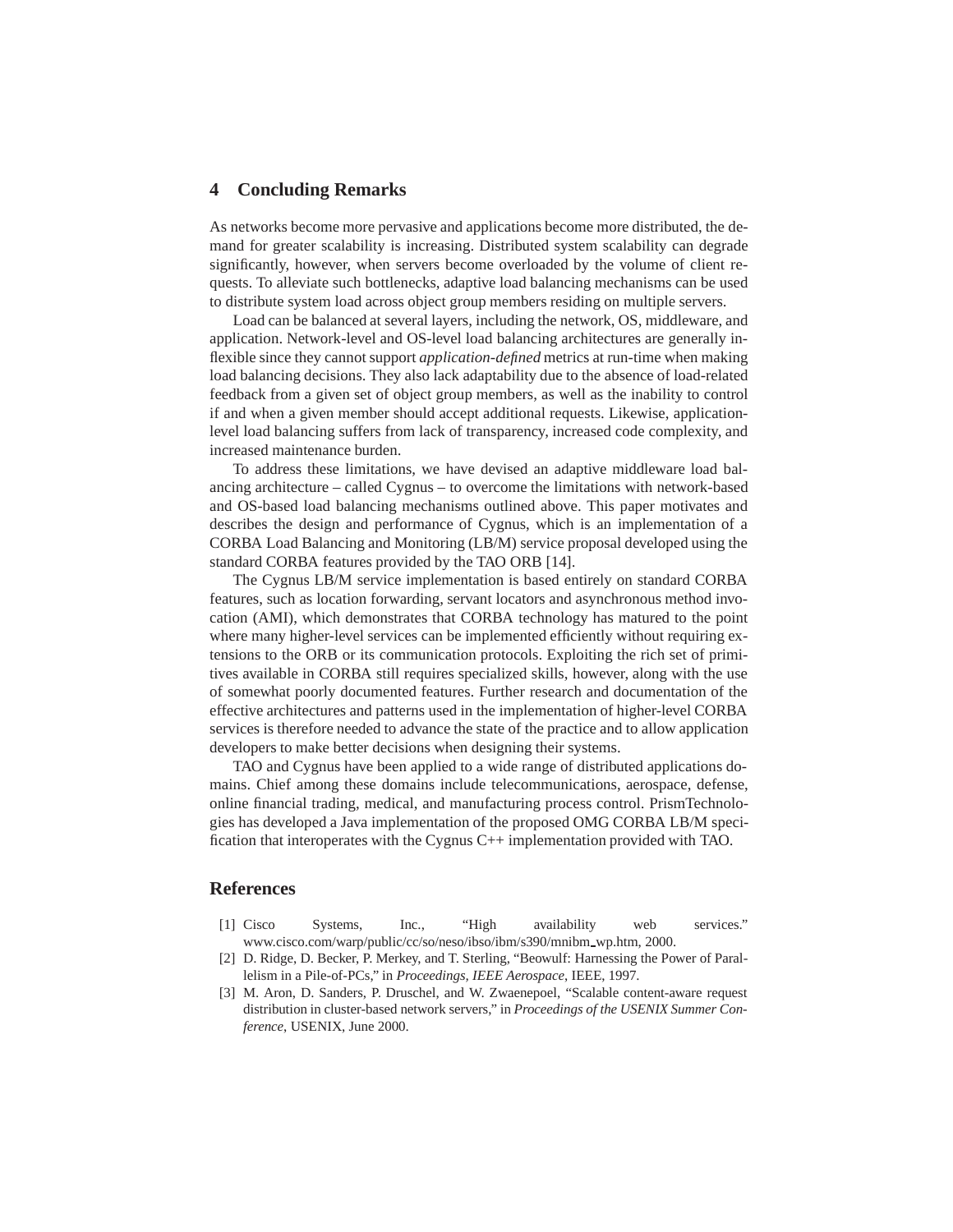# **4 Concluding Remarks**

As networks become more pervasive and applications become more distributed, the demand for greater scalability is increasing. Distributed system scalability can degrade significantly, however, when servers become overloaded by the volume of client requests. To alleviate such bottlenecks, adaptive load balancing mechanisms can be used to distribute system load across object group members residing on multiple servers.

Load can be balanced at several layers, including the network, OS, middleware, and application. Network-level and OS-level load balancing architectures are generally inflexible since they cannot support *application-defined* metrics at run-time when making load balancing decisions. They also lack adaptability due to the absence of load-related feedback from a given set of object group members, as well as the inability to control if and when a given member should accept additional requests. Likewise, applicationlevel load balancing suffers from lack of transparency, increased code complexity, and increased maintenance burden.

To address these limitations, we have devised an adaptive middleware load balancing architecture – called Cygnus – to overcome the limitations with network-based and OS-based load balancing mechanisms outlined above. This paper motivates and describes the design and performance of Cygnus, which is an implementation of a CORBA Load Balancing and Monitoring (LB/M) service proposal developed using the standard CORBA features provided by the TAO ORB [14].

The Cygnus LB/M service implementation is based entirely on standard CORBA features, such as location forwarding, servant locators and asynchronous method invocation (AMI), which demonstrates that CORBA technology has matured to the point where many higher-level services can be implemented efficiently without requiring extensions to the ORB or its communication protocols. Exploiting the rich set of primitives available in CORBA still requires specialized skills, however, along with the use of somewhat poorly documented features. Further research and documentation of the effective architectures and patterns used in the implementation of higher-level CORBA services is therefore needed to advance the state of the practice and to allow application developers to make better decisions when designing their systems.

TAO and Cygnus have been applied to a wide range of distributed applications domains. Chief among these domains include telecommunications, aerospace, defense, online financial trading, medical, and manufacturing process control. PrismTechnologies has developed a Java implementation of the proposed OMG CORBA LB/M specification that interoperates with the Cygnus C++ implementation provided with TAO.

# **References**

- [1] Cisco Systems, Inc., "High availability web services." www.cisco.com/warp/public/cc/so/neso/ibso/ibm/s390/mnibm\_wp.htm, 2000.
- [2] D. Ridge, D. Becker, P. Merkey, and T. Sterling, "Beowulf: Harnessing the Power of Parallelism in a Pile-of-PCs," in *Proceedings, IEEE Aerospace*, IEEE, 1997.
- [3] M. Aron, D. Sanders, P. Druschel, and W. Zwaenepoel, "Scalable content-aware request distribution in cluster-based network servers," in *Proceedings of the USENIX Summer Conference*, USENIX, June 2000.